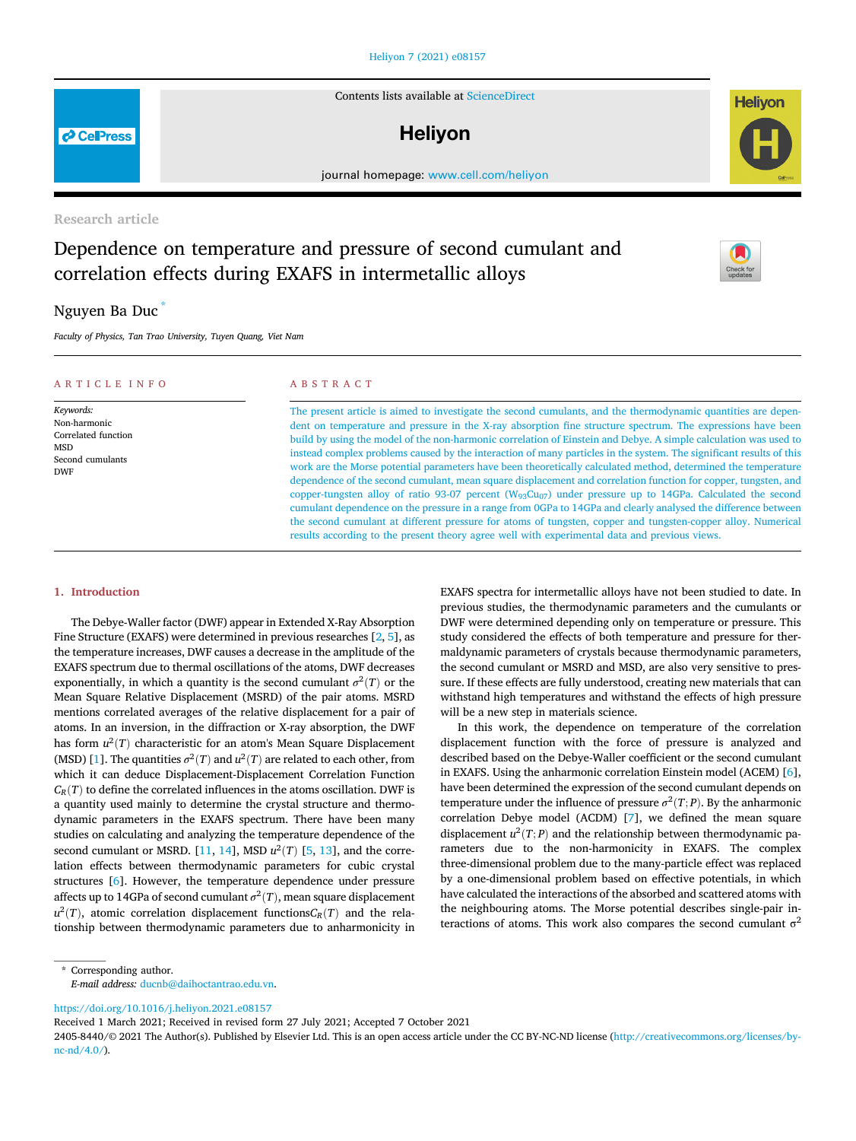### [Heliyon 7 \(2021\) e08157](https://doi.org/10.1016/j.heliyon.2021.e08157)

Contents lists available at [ScienceDirect](www.sciencedirect.com/science/journal/24058440)

# **Helivon**

journal homepage: [www.cell.com/heliyon](http://www.cell.com/heliyon)

# Research article

# Dependence on temperature and pressure of second cumulant and correlation effects during EXAFS in intermetallic alloys

# Nguyen Ba Duc [\\*](#page-0-0)

Faculty of Physics, Tan Trao University, Tuyen Quang, Viet Nam

#### ARTICLE INFO Keywords: Non-harmonic Correlated function **MSD** Second cumulants DWF ABSTRACT The present article is aimed to investigate the second cumulants, and the thermodynamic quantities are dependent on temperature and pressure in the X-ray absorption fine structure spectrum. The expressions have been build by using the model of the non-harmonic correlation of Einstein and Debye. A simple calculation was used to instead complex problems caused by the interaction of many particles in the system. The significant results of this work are the Morse potential parameters have been theoretically calculated method, determined the temperature dependence of the second cumulant, mean square displacement and correlation function for copper, tungsten, and copper-tungsten alloy of ratio 93-07 percent ( $W_{93}Cu_{07}$ ) under pressure up to 14GPa. Calculated the second

#### 1. Introduction

The Debye-Waller factor (DWF) appear in Extended X-Ray Absorption Fine Structure (EXAFS) were determined in previous researches [\[2,](#page-4-0) [5](#page-4-1)], as the temperature increases, DWF causes a decrease in the amplitude of the EXAFS spectrum due to thermal oscillations of the atoms, DWF decreases exponentially, in which a quantity is the second cumulant  $\sigma^2(T)$  or the Mean Square Relative Displacement (MSRD) of the pair atoms. MSRD mentions correlated averages of the relative displacement for a pair of atoms. In an inversion, in the diffraction or X-ray absorption, the DWF has form  $u^2(T)$  characteristic for an atom's Mean Square Displacement (MSD) [\[1\]](#page-4-2). The quantities  $\sigma^2(T)$  and  $u^2(T)$  are related to each other, from which it can deduce Displacement-Displacement Correlation Function  $C_R(T)$  to define the correlated influences in the atoms oscillation. DWF is a quantity used mainly to determine the crystal structure and thermodynamic parameters in the EXAFS spectrum. There have been many studies on calculating and analyzing the temperature dependence of the second cumulant or MSRD. [[11,](#page-4-3) [14](#page-4-4)], MSD  $u^2(T)$  [\[5,](#page-4-1) [13](#page-4-5)], and the correlation effects between thermodynamic parameters for cubic crystal structures [[6](#page-4-6)]. However, the temperature dependence under pressure affects up to 14GPa of second cumulant  $\sigma^2(T)$ , mean square displacement  $u^2(T)$ , atomic correlation displacement functions $C_R(T)$  and the relationship between thermodynamic parameters due to anharmonicity in EXAFS spectra for intermetallic alloys have not been studied to date. In previous studies, the thermodynamic parameters and the cumulants or DWF were determined depending only on temperature or pressure. This study considered the effects of both temperature and pressure for thermaldynamic parameters of crystals because thermodynamic parameters, the second cumulant or MSRD and MSD, are also very sensitive to pressure. If these effects are fully understood, creating new materials that can withstand high temperatures and withstand the effects of high pressure will be a new step in materials science.

cumulant dependence on the pressure in a range from 0GPa to 14GPa and clearly analysed the difference between the second cumulant at different pressure for atoms of tungsten, copper and tungsten-copper alloy. Numerical

results according to the present theory agree well with experimental data and previous views.

In this work, the dependence on temperature of the correlation displacement function with the force of pressure is analyzed and described based on the Debye-Waller coefficient or the second cumulant in EXAFS. Using the anharmonic correlation Einstein model (ACEM) [[6](#page-4-6)], have been determined the expression of the second cumulant depends on temperature under the influence of pressure  $\sigma^2(T; P)$ . By the anharmonic correlation Debye model (ACDM) [\[7\]](#page-4-7), we defined the mean square displacement  $u^2(T; P)$  and the relationship between thermodynamic parameters due to the non-harmonicity in EXAFS. The complex three-dimensional problem due to the many-particle effect was replaced by a one-dimensional problem based on effective potentials, in which have calculated the interactions of the absorbed and scattered atoms with the neighbouring atoms. The Morse potential describes single-pair interactions of atoms. This work also compares the second cumulant  $\sigma^2$ 

<span id="page-0-0"></span>\* Corresponding author. E-mail address: [ducnb@daihoctantrao.edu.vn.](mailto:ducnb@daihoctantrao.edu.vn)

<https://doi.org/10.1016/j.heliyon.2021.e08157>

Received 1 March 2021; Received in revised form 27 July 2021; Accepted 7 October 2021





**P** CellPress

<sup>2405-8440/</sup>© 2021 The Author(s). Published by Elsevier Ltd. This is an open access article under the CC BY-NC-ND license [\(http://creativecommons.org/licenses/by](http://creativecommons.org/licenses/by-nc-nd/4.0/) $nc-nd/4.0/$ ).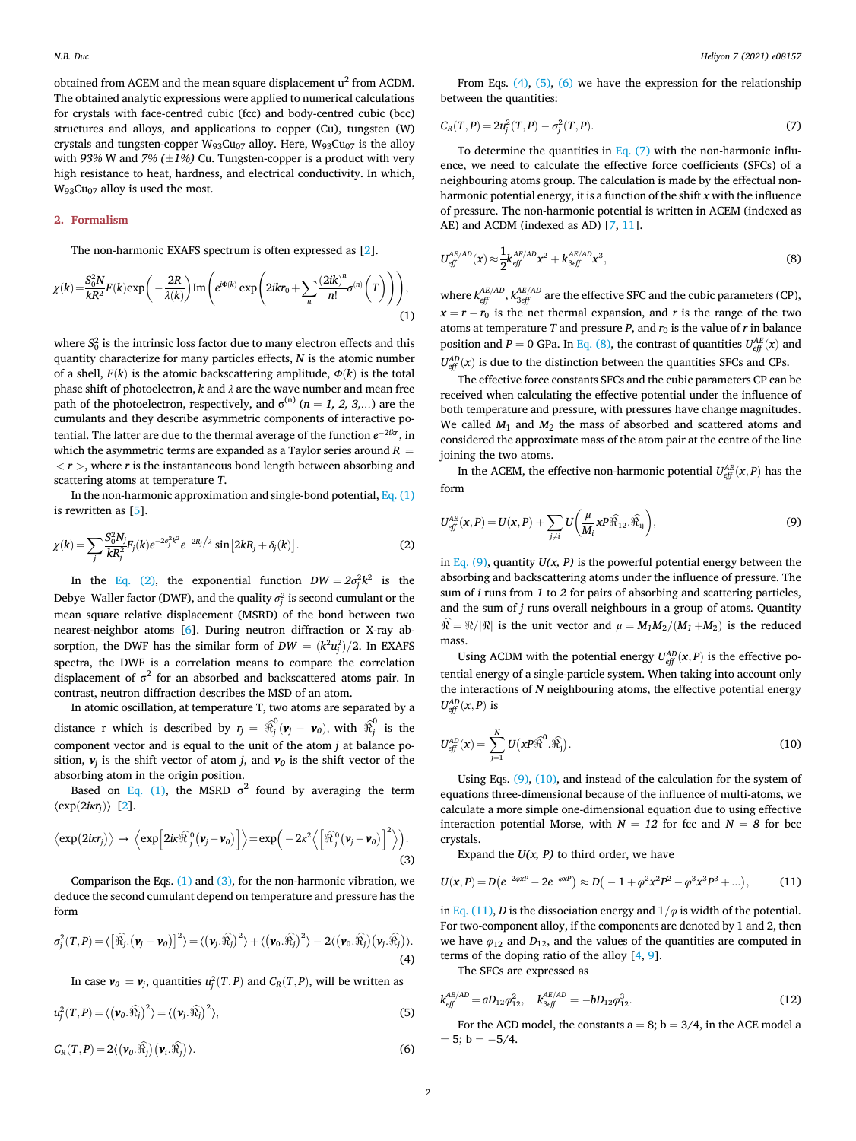obtained from ACEM and the mean square displacement u<sup>2</sup> from ACDM. The obtained analytic expressions were applied to numerical calculations for crystals with face-centred cubic (fcc) and body-centred cubic (bcc) structures and alloys, and applications to copper (Cu), tungsten (W) crystals and tungsten-copper  $W_{93}Cu_{07}$  alloy. Here,  $W_{93}Cu_{07}$  is the alloy with 93% W and 7%  $(\pm 1\%)$  Cu. Tungsten-copper is a product with very high resistance to heat, hardness, and electrical conductivity. In which,  $W_{93}Cu_{07}$  alloy is used the most.

# 2. Formalism

The non-harmonic EXAFS spectrum is often expressed as [[2](#page-4-0)].

<span id="page-1-0"></span>
$$
\chi(k) = \frac{S_0^2 N}{kR^2} F(k) \exp\bigg(-\frac{2R}{\lambda(k)}\bigg) \operatorname{Im}\bigg(e^{i\Phi(k)} \exp\bigg(2ikr_0 + \sum_n \frac{(2ik)^n}{n!} \sigma^{(n)}\bigg(T\bigg)\bigg)\bigg),\tag{1}
$$

where  $S_0^2$  is the intrinsic loss factor due to many electron effects and this quantity characterize for many particles effects,  $N$  is the atomic number of a shell,  $F(k)$  is the atomic backscattering amplitude,  $\Phi(k)$  is the total phase shift of photoelectron,  $k$  and  $\lambda$  are the wave number and mean free path of the photoelectron, respectively, and  $\sigma^{(n)}$  (n = 1, 2, 3,...) are the cumulants and they describe asymmetric components of interactive potential. The latter are due to the thermal average of the function  $e^{-2ikr}$ , in which the asymmetric terms are expanded as a Taylor series around  $R =$  $\langle r \rangle$ , where r is the instantaneous bond length between absorbing and scattering atoms at temperature T.

In the non-harmonic approximation and single-bond potential,  $Eq. (1)$ is rewritten as [\[5\]](#page-4-1).

<span id="page-1-1"></span>
$$
\chi(k) = \sum_{j} \frac{S_0^2 N_j}{k R_j^2} F_j(k) e^{-2\sigma_j^2 k^2} e^{-2R_j/\lambda} \sin[2kR_j + \delta_j(k)]. \tag{2}
$$

In the [Eq. \(2\)](#page-1-1), the exponential function  $DW = 2\sigma_j^2 k^2$  is the  $Z(k) = \sum_{j} \overline{kR_j^2} F_j(k) e^{-\lambda j} e^{-\lambda j} \sin[\frac{2kR_j + \sigma_j(k)}{l}]$ . (2)<br>
In the Eq. (2), the exponential function  $DW = 2\sigma_j^2 k^2$  is the<br>
Debye–Waller factor (DWF), and the quality  $\sigma_j^2$  is second cumulant or the mean square relative displacement (MSRD) of the bond between two nearest-neighbor atoms [[6](#page-4-6)]. During neutron diffraction or X-ray absorption, the DWF has the similar form of  $DW = (k^2 u_j^2)/2$ . In EXAFS spectra, the DWF is a correlation means to compare the correlation displacement of  $\sigma^2$  for an absorbed and backscattered atoms pair. In contrast, neutron diffraction describes the MSD of an atom.

In atomic oscillation, at temperature T, two atoms are separated by a distance r which is described by  $r_j = \hat{x}_j^0 (\mathbf{v}_j - \mathbf{v}_0)$ , with  $\hat{x}_j^0$  is the component vector and is equal to the unit of the atom j at balance position,  $v_i$  is the shift vector of atom j, and  $v_0$  is the shift vector of the absorbing atom in the origin position.

Based on [Eq. \(1\)](#page-1-0), the MSRD  $\sigma^2$  found by averaging the term  $\langle \exp(2i\kappa r_i)\rangle$  $\langle \exp(2i\kappa r_i)\rangle$  $\langle \exp(2i\kappa r_i)\rangle$  [2].

<span id="page-1-2"></span>
$$
\langle \exp(2\mathrm{i} \kappa r_j) \rangle \rightarrow \langle \exp\Big[2\mathrm{i} \kappa \widehat{\mathcal{H}}_j^0(\mathbf{v}_j - \mathbf{v}_0)\Big] \rangle = \exp\Big(-2\kappa^2 \Big\langle \Big[\widehat{\mathcal{H}}_j^0(\mathbf{v}_j - \mathbf{v}_0)\Big]^2 \Big\rangle\Big).
$$
\n(3)

Comparison the Eqs. [\(1\)](#page-1-0) and [\(3\)](#page-1-2), for the non-harmonic vibration, we deduce the second cumulant depend on temperature and pressure has the form

<span id="page-1-3"></span>
$$
\sigma_j^2(T, P) = \langle \left[ \widehat{\mathfrak{R}_j} \cdot (\mathbf{v}_j - \mathbf{v}_0) \right]^2 \rangle = \langle (\mathbf{v}_j \cdot \widehat{\mathfrak{R}_j})^2 \rangle + \langle (\mathbf{v}_0 \cdot \widehat{\mathfrak{R}_j})^2 \rangle - 2 \langle (\mathbf{v}_0 \cdot \widehat{\mathfrak{R}_j}) (\mathbf{v}_j \cdot \widehat{\mathfrak{R}_j}) \rangle. \tag{4}
$$

In case  $\boldsymbol{v}_0 = \boldsymbol{v}_j$ , quantities  $u_j^2(T, P)$  and  $C_R(T, P)$ , will be written as

<span id="page-1-4"></span>
$$
u_j^2(T, P) = \langle (\mathbf{v}_0 \cdot \widehat{\mathfrak{R}}_j)^2 \rangle = \langle (\mathbf{v}_j \cdot \widehat{\mathfrak{R}}_j)^2 \rangle, \tag{5}
$$

<span id="page-1-5"></span> $C_R(T, P) = 2\langle (\boldsymbol{\nu}_0.\widehat{\mathfrak{R}_j}) (\boldsymbol{\nu}_i.\widehat{\mathfrak{R}_j})$  $\rangle$ . (6)

From Eqs.  $(4)$ ,  $(5)$ ,  $(6)$  we have the expression for the relationship between the quantities:

<span id="page-1-6"></span>
$$
C_R(T, P) = 2u_j^2(T, P) - \sigma_j^2(T, P).
$$
\n(7)

To determine the quantities in Eq.  $(7)$  with the non-harmonic influence, we need to calculate the effective force coefficients (SFCs) of a neighbouring atoms group. The calculation is made by the effectual nonharmonic potential energy, it is a function of the shift  $x$  with the influence of pressure. The non-harmonic potential is written in ACEM (indexed as AE) and ACDM (indexed as AD) [\[7,](#page-4-7) [11](#page-4-3)].

<span id="page-1-7"></span>
$$
U_{\text{eff}}^{AE/AD}(x) \approx \frac{1}{2} k_{\text{eff}}^{AE/AD} x^2 + k_{3\text{eff}}^{AE/AD} x^3, \tag{8}
$$

where  $k_{eff}^{AE/AD}$ ,  $k_{3eff}^{AE/AD}$  are the effective SFC and the cubic parameters (CP),  $x = r - r_0$  is the net thermal expansion, and r is the range of the two atoms at temperature T and pressure P, and  $r_0$  is the value of r in balance position and  $P = 0$  GPa. In [Eq. \(8\)](#page-1-7), the contrast of quantities  $U_{\text{eff}}^{AE}(x)$  and  $U_{\text{eff}}^{AD}(x)$  is due to the distinction between the quantities SFCs and CPs.

The effective force constants SFCs and the cubic parameters CP can be received when calculating the effective potential under the influence of both temperature and pressure, with pressures have change magnitudes. We called  $M_1$  and  $M_2$  the mass of absorbed and scattered atoms and considered the approximate mass of the atom pair at the centre of the line joining the two atoms.

In the ACEM, the effective non-harmonic potential  $U_{\text{eff}}^{AE}(x, P)$  has the form

<span id="page-1-8"></span>
$$
U_{\text{eff}}^{\text{AE}}(x,P) = U(x,P) + \sum_{j \neq i} U\left(\frac{\mu}{M_i} x P \widehat{\Re}_{12} \cdot \widehat{\Re}_{ij}\right),\tag{9}
$$

in [Eq. \(9\)](#page-1-8), quantity  $U(x, P)$  is the powerful potential energy between the absorbing and backscattering atoms under the influence of pressure. The sum of i runs from 1 to 2 for pairs of absorbing and scattering particles, and the sum of j runs overall neighbours in a group of atoms. Quantity  $\widehat{\mathfrak{R}} = \mathfrak{R}/|\mathfrak{R}|$  is the unit vector and  $\mu = M_1M_2/(M_1 + M_2)$  is the reduced mass.

Using ACDM with the potential energy  $U_{\text{eff}}^{AD}(x, P)$  is the effective potential energy of a single-particle system. When taking into account only the interactions of N neighbouring atoms, the effective potential energy  $U_{\text{eff}}^{AD}(x, P)$  is

<span id="page-1-9"></span>
$$
U_{\text{eff}}^{AD}(x) = \sum_{j=1}^{N} U(x \mathbf{P} \widehat{\mathbf{\mathcal{R}}}^{0} \cdot \widehat{\mathbf{\mathcal{R}}_{j}}).
$$
 (10)

Using Eqs. [\(9\),](#page-1-8) [\(10\)](#page-1-9), and instead of the calculation for the system of equations three-dimensional because of the influence of multi-atoms, we calculate a more simple one-dimensional equation due to using effective interaction potential Morse, with  $N = 12$  for fcc and  $N = 8$  for bcc crystals.

Expand the  $U(x, P)$  to third order, we have

<span id="page-1-10"></span>
$$
U(x, P) = D(e^{-2\varphi xP} - 2e^{-\varphi xP}) \approx D(-1 + \varphi^2 x^2 P^2 - \varphi^3 x^3 P^3 + ...),
$$
 (11)

in [Eq. \(11\)](#page-1-10), D is the dissociation energy and  $1/\varphi$  is width of the potential. For two-component alloy, if the components are denoted by 1 and 2, then we have  $\varphi_{12}$  and  $D_{12}$ , and the values of the quantities are computed in terms of the doping ratio of the alloy [\[4,](#page-4-8) [9\]](#page-4-9).

The SFCs are expressed as

<span id="page-1-11"></span>
$$
k_{\text{eff}}^{\text{AE}/\text{AD}} = a D_{12} \varphi_{12}^2, \quad k_{3\text{eff}}^{\text{AE}/\text{AD}} = -b D_{12} \varphi_{12}^3. \tag{12}
$$

For the ACD model, the constants  $a = 8$ ;  $b = 3/4$ , in the ACE model a  $= 5$ ; b  $= -5/4$ .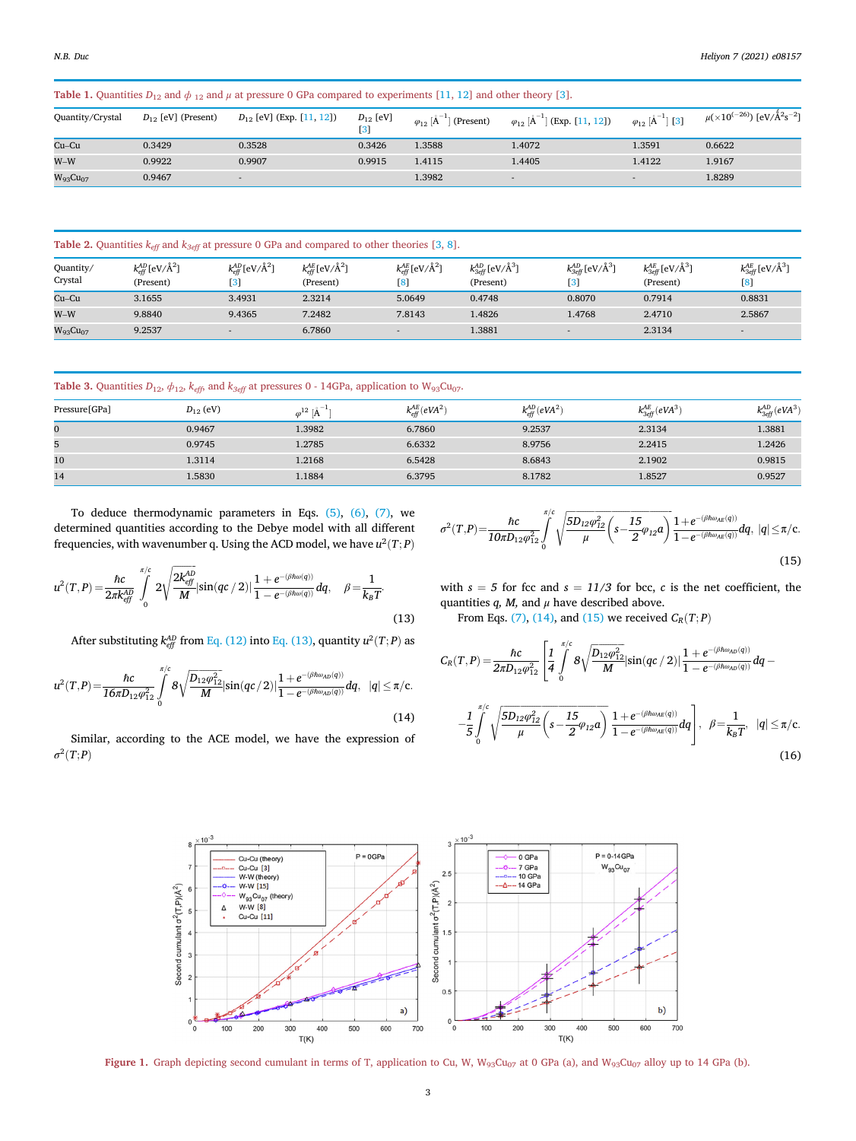<span id="page-2-4"></span>Table 1. Quantities  $D_{12}$  $D_{12}$  $D_{12}$  and  $\phi_{12}$  and  $\mu$  at pressure 0 GPa compared to experiments [\[11](#page-4-3), 12] and other theory [[3\]](#page-4-11).

| Quantity/Crystal | $D_{12}$ [eV] (Present) | $D_{12}$ [eV] (Exp. [11, 12]) | $D_{12}$ [eV]<br>$\left 3\right $ | $\varphi_{12}$ [A <sup>-1</sup><br>(Present) | (Exp. [11, 12])<br>$\varphi_{12}$ $\tilde{A}$ | $\left[\begin{array}{c} 2 \end{array}\right]$ [3]<br>$\varphi_{12}$ [A $\overline{A}$ | $\mu(\times 10^{(-26)})$ [eV/ $\rm{\AA^2s^{-2}}$ ] |
|------------------|-------------------------|-------------------------------|-----------------------------------|----------------------------------------------|-----------------------------------------------|---------------------------------------------------------------------------------------|----------------------------------------------------|
| $Cu-Cu$          | 0.3429                  | 0.3528                        | 0.3426                            | 1.3588                                       | 1.4072                                        | 1.3591                                                                                | 0.6622                                             |
| $W-W$            | 0.9922                  | 0.9907                        | 0.9915                            | 1.4115                                       | 1.4405                                        | 1.4122                                                                                | 1.9167                                             |
| $W_{93}Cu_{07}$  | 0.9467                  | $\sim$                        |                                   | 1.3982                                       |                                               |                                                                                       | 1.8289                                             |

<span id="page-2-5"></span>Table 2. Quantities  $k_{\text{eff}}$  and  $k_{3\text{eff}}$  at pressure 0 GPa and compared to other theories [\[3](#page-4-11), [8](#page-4-12)].

| Quantity/<br>Crystal | $k_{\text{eff}}^{\text{AD}}$ [eV/Å <sup>2</sup> ]<br>(Present) | $k_{\text{eff}}^{AD}$ [eV/Å <sup>2</sup> ] | $k_{\text{eff}}^{\text{AE}}$ [eV/Å <sup>2</sup> ]<br>(Present) | $k_{\text{eff}}^{AE}$ [eV/Å <sup>2</sup> ]<br>$\left[ 8\right]$ | $k_{3eff}^{AD}$ [eV/Å <sup>3</sup> ]<br>(Present) | $k_{3eff}^{AD}$ [eV/ $\rm{\AA}^{3}$ ]<br>$\vert 3 \vert$ | $k_{3eff}^{AE}$ [eV/ $\rm{\AA}^{3}$ ]<br>(Present) | $k_{3eff}^{AE}$ [eV/ $\rm{\AA^3}$ ]<br>$\left[ 8 \right]$ |
|----------------------|----------------------------------------------------------------|--------------------------------------------|----------------------------------------------------------------|-----------------------------------------------------------------|---------------------------------------------------|----------------------------------------------------------|----------------------------------------------------|-----------------------------------------------------------|
| Cu–Cu                | 3.1655                                                         | 3.4931                                     | 2.3214                                                         | 5.0649                                                          | 0.4748                                            | 0.8070                                                   | 0.7914                                             | 0.8831                                                    |
| $W-W$                | 9.8840                                                         | 9.4365                                     | 7.2482                                                         | 7.8143                                                          | 1.4826                                            | 1.4768                                                   | 2.4710                                             | 2.5867                                                    |
| $W_{93}Cu_{07}$      | 9.2537                                                         | $\overline{\phantom{a}}$                   | 6.7860                                                         | $\overline{\phantom{a}}$                                        | 1.3881                                            |                                                          | 2.3134                                             |                                                           |

<span id="page-2-6"></span>

|  |  |  |  |  |  |  | <b>Table 3.</b> Quantities $D_{12}$ , $\phi_{12}$ , $k_{eff}$ , and $k_{3eff}$ at pressures 0 - 14GPa, application to $W_{93}Cu_{07}$ . |  |
|--|--|--|--|--|--|--|-----------------------------------------------------------------------------------------------------------------------------------------|--|
|--|--|--|--|--|--|--|-----------------------------------------------------------------------------------------------------------------------------------------|--|

| Pressure[GPa] | $D_{12}$ (eV) | $\varphi^{12}$ $\rm A^{-1}$ | $k_{\text{eff}}^{AE}$ (eVA <sup>2</sup> ) | $k_{\text{eff}}^{AD}(eVA^2)$ | $k_{3eff}^{AE}(eVA^3)$ | $k_{3eff}^{AD}$ (eVA <sup>3</sup> ) |
|---------------|---------------|-----------------------------|-------------------------------------------|------------------------------|------------------------|-------------------------------------|
| $\mathbf{0}$  | 0.9467        | 1.3982                      | 6.7860                                    | 9.2537                       | 2.3134                 | 1.3881                              |
| 5             | 0.9745        | 1.2785                      | 6.6332                                    | 8.9756                       | 2.2415                 | 1.2426                              |
| 10            | 1.3114        | 1.2168                      | 6.5428                                    | 8.6843                       | 2.1902                 | 0.9815                              |
| 14            | 1.5830        | 1.1884                      | 6.3795                                    | 8.1782                       | 1.8527                 | 0.9527                              |

To deduce thermodynamic parameters in Eqs. [\(5\)](#page-1-4), [\(6\)](#page-1-5), [\(7\),](#page-1-6) we determined quantities according to the Debye model with all different frequencies, with wavenumber q. Using the ACD model, we have  $u^2(T; P)$ 

<span id="page-2-0"></span>
$$
u^{2}(T, P) = \frac{\hbar c}{2\pi k_{eff}^{\Delta D}} \int_{0}^{\pi/c} 2\sqrt{\frac{2k_{eff}^{\Delta D}}{M}} |\sin(qc/2)| \frac{1 + e^{-(\beta\hbar\omega(q))}}{1 - e^{-(\beta\hbar\omega(q))}} dq, \quad \beta = \frac{1}{k_{B}T}.
$$
\n(13)

After substituting  $k_{\text{eff}}^{\text{AD}}$  from [Eq. \(12\)](#page-1-11) into [Eq. \(13\),](#page-2-0) quantity  $u^2(T;P)$  as

<span id="page-2-1"></span>
$$
u^{2}(T,P)=\frac{\hbar c}{16\pi D_{12}\varphi_{12}^{2}}\int\limits_{0}^{\pi/c}8\sqrt{\frac{D_{12}\varphi_{12}^{2}}{M}}|\sin(qc/2)|\frac{1+e^{-(\beta\hbar\omega_{AD}(q))}}{1-e^{-(\beta\hbar\omega_{AD}(q))}}dq,\ \ |q|\leq\pi/c.
$$
\n(14)

<span id="page-2-7"></span>Similar, according to the ACE model, we have the expression of  $\sigma^2(T;P)$ 

<span id="page-2-2"></span>
$$
\sigma^2(T,P) = \frac{\hbar c}{10\pi D_{12}\varphi_{12}^2} \int_0^{\pi/ c} \sqrt{\frac{5D_{12}\varphi_{12}^2}{\mu} \left(s - \frac{15}{2}\varphi_{12}a\right)} \frac{1 + e^{-(\beta\hbar\omega_{AE}(q))}}{1 - e^{-(\beta\hbar\omega_{AE}(q))}} dq, \ |q| \le \pi/c.
$$
\n(15)

with  $s = 5$  for fcc and  $s = 11/3$  for bcc, c is the net coefficient, the quantities  $q$ ,  $M$ , and  $\mu$  have described above.

From Eqs. [\(7\)](#page-1-6), [\(14\),](#page-2-1) and [\(15\)](#page-2-2) we received  $C_R(T; P)$ 

<span id="page-2-3"></span>
$$
C_{R}(T, P) = \frac{\hbar c}{2\pi D_{12}\varphi_{12}^{2}} \left[ \frac{1}{4} \int_{0}^{\pi/c} 8\sqrt{\frac{D_{12}\varphi_{12}^{2}}{M}} |\sin(qc/2)| \frac{1 + e^{-(\beta\hbar\omega_{AD}(q))}}{1 - e^{-(\beta\hbar\omega_{AD}(q))}} dq - \frac{1}{5} \int_{0}^{\pi/c} \sqrt{\frac{5D_{12}\varphi_{12}^{2}}{\mu}} \left( s - \frac{15}{2}\varphi_{12}a \right) \frac{1 + e^{-(\beta\hbar\omega_{AE}(q))}}{1 - e^{-(\beta\hbar\omega_{AE}(q))}} dq \right], \ \ \beta = \frac{1}{k_{B}T}, \ \ |q| \leq \pi/c.
$$
\n(16)



Figure 1. Graph depicting second cumulant in terms of T, application to Cu, W,  $W_{93}Cu_{07}$  at 0 GPa (a), and  $W_{93}Cu_{07}$  alloy up to 14 GPa (b).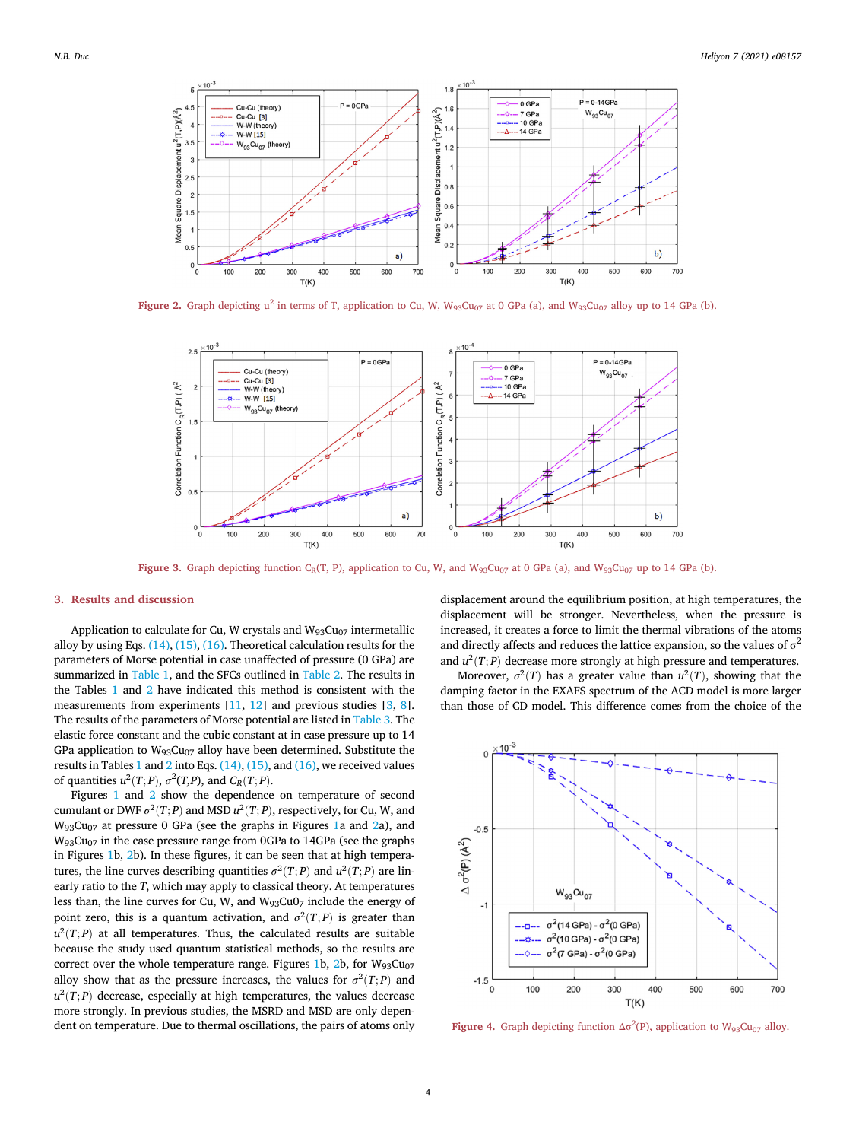<span id="page-3-0"></span>

<span id="page-3-1"></span>Figure 2. Graph depicting  $u^2$  in terms of T, application to Cu, W,  $W_{93}Cu_{07}$  at 0 GPa (a), and  $W_{93}Cu_{07}$  alloy up to 14 GPa (b).



Figure 3. Graph depicting function C<sub>R</sub>(T, P), application to Cu, W, and W<sub>93</sub>Cu<sub>07</sub> at 0 GPa (a), and W<sub>93</sub>Cu<sub>07</sub> up to 14 GPa (b).

## 3. Results and discussion

Application to calculate for Cu, W crystals and  $W_{93}Cu_{07}$  intermetallic alloy by using Eqs. [\(14\)](#page-2-1), [\(15\)](#page-2-2), [\(16\)](#page-2-3). Theoretical calculation results for the parameters of Morse potential in case unaffected of pressure (0 GPa) are summarized in [Table 1,](#page-2-4) and the SFCs outlined in [Table 2.](#page-2-5) The results in the Tables [1](#page-2-4) and [2](#page-2-5) have indicated this method is consistent with the measurements from experiments [[11](#page-4-3), [12\]](#page-4-10) and previous studies [[3](#page-4-11), [8](#page-4-12)]. The results of the parameters of Morse potential are listed in [Table 3.](#page-2-6) The elastic force constant and the cubic constant at in case pressure up to 14 GPa application to  $W_{93}Cu_{07}$  alloy have been determined. Substitute the results in Tables [1](#page-2-4) and [2](#page-2-5) into Eqs. [\(14\),](#page-2-1) [\(15\),](#page-2-2) and [\(16\)](#page-2-3), we received values of quantities  $u^2(T;P)$ ,  $\sigma^2(T,P)$ , and  $C_R(T;P)$ .

Figures [1](#page-2-7) and [2](#page-3-0) show the dependence on temperature of second cumulant or DWF  $\sigma^2(T; P)$  and MSD  $u^2(T; P)$ , respectively, for Cu, W, and W93Cu07 at pressure 0 GPa (see the graphs in Figures [1](#page-2-7)a and [2a](#page-3-0)), and  $W_{93}Cu_{07}$  in the case pressure range from 0GPa to 14GPa (see the graphs in Figures [1](#page-2-7)b, [2b](#page-3-0)). In these figures, it can be seen that at high temperatures, the line curves describing quantities  $\sigma^2(T; P)$  and  $u^2(T; P)$  are linearly ratio to the T, which may apply to classical theory. At temperatures less than, the line curves for Cu, W, and  $W_{93}Cu0<sub>7</sub>$  include the energy of point zero, this is a quantum activation, and  $\sigma^2(T; P)$  is greater than  $u^2(T; P)$  at all temperatures. Thus, the calculated results are suitable because the study used quantum statistical methods, so the results are correct over the whole temperature range. Figures [1b](#page-2-7),  $2b$ , for  $W_{93}Cu_{07}$ alloy show that as the pressure increases, the values for  $\sigma^2(T; P)$  and  $u^2(T; P)$  decrease, especially at high temperatures, the values decrease more strongly. In previous studies, the MSRD and MSD are only dependent on temperature. Due to thermal oscillations, the pairs of atoms only

displacement around the equilibrium position, at high temperatures, the displacement will be stronger. Nevertheless, when the pressure is increased, it creates a force to limit the thermal vibrations of the atoms and directly affects and reduces the lattice expansion, so the values of  $\sigma^2$ and  $u^2(T; P)$  decrease more strongly at high pressure and temperatures.

Moreover,  $\sigma^2(T)$  has a greater value than  $u^2(T)$ , showing that the damping factor in the EXAFS spectrum of the ACD model is more larger than those of CD model. This difference comes from the choice of the

<span id="page-3-2"></span>

**Figure 4.** Graph depicting function  $\Delta \sigma^2$ (P), application to  $W_{93}Cu_{07}$  alloy.